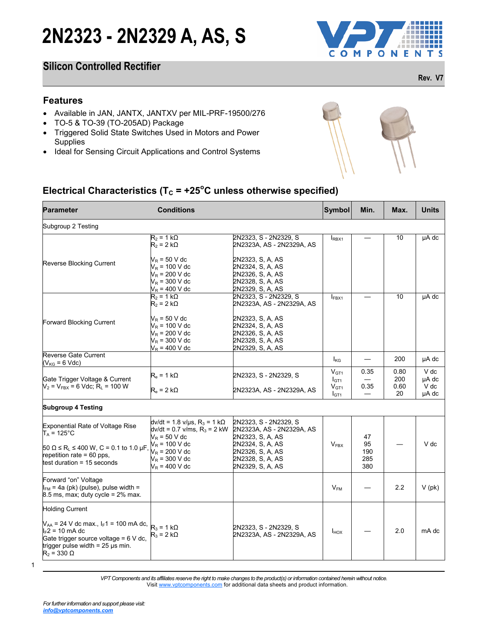### **Silicon Controlled Rectifier**

### **Features**

- Available in JAN, JANTX, JANTXV per MIL-PRF-19500/276
- TO-5 & TO-39 (TO-205AD) Package
- Triggered Solid State Switches Used in Motors and Power **Supplies**
- Ideal for Sensing Circuit Applications and Control Systems



## **Electrical Characteristics (** $T_c$  **= +25<sup>o</sup>C unless otherwise specified)**

| <b>Features</b><br>Available in JAN, JANTX, JANTXV per MIL-PRF-19500/276<br>TO-5 & TO-39 (TO-205AD) Package<br>Triggered Solid State Switches Used in Motors and Power<br><b>Supplies</b><br>Ideal for Sensing Circuit Applications and Control Systems |                                                                                                                                                                               |                                                                                                                                                        |                                                                       |                               |                           |                                |
|---------------------------------------------------------------------------------------------------------------------------------------------------------------------------------------------------------------------------------------------------------|-------------------------------------------------------------------------------------------------------------------------------------------------------------------------------|--------------------------------------------------------------------------------------------------------------------------------------------------------|-----------------------------------------------------------------------|-------------------------------|---------------------------|--------------------------------|
| Electrical Characteristics ( $T_c$ = +25°C unless otherwise specified)<br><b>Parameter</b>                                                                                                                                                              | <b>Conditions</b>                                                                                                                                                             |                                                                                                                                                        | Symbol                                                                | Min.                          | Max.                      | <b>Units</b>                   |
| Subgroup 2 Testing                                                                                                                                                                                                                                      |                                                                                                                                                                               |                                                                                                                                                        |                                                                       |                               |                           |                                |
|                                                                                                                                                                                                                                                         | $R_2 = 1 k\Omega$<br>$R_2 = 2 k\Omega$                                                                                                                                        | 2N2323, S - 2N2329, S<br>2N2323A, AS - 2N2329A, AS                                                                                                     | RBX1                                                                  |                               | 10                        | µA dc                          |
| Reverse Blocking Current                                                                                                                                                                                                                                | $V_R$ = 50 V dc<br>$V_R$ = 100 V dc<br>$V_R$ = 200 V dc<br>$V_R$ = 300 V dc<br>$V_R$ = 400 V dc                                                                               | 2N2323, S.A. AS<br>2N2324, S, A, AS<br>2N2326, S, A, AS<br>2N2328, S, A, AS<br>2N2329, S, A, AS                                                        |                                                                       |                               |                           |                                |
|                                                                                                                                                                                                                                                         | $R_2 = 1 k\Omega$<br>$R_2 = 2 k\Omega$                                                                                                                                        | 2N2323, S - 2N2329, S<br>2N2323A, AS - 2N2329A, AS                                                                                                     | <b>IFBX1</b>                                                          |                               | 10                        | µA dc                          |
| Forward Blocking Current                                                                                                                                                                                                                                | $V_R$ = 50 V dc<br>$V_R$ = 100 V dc<br>$V_R$ = 200 V dc<br>$V_R$ = 300 V dc<br>$V_R$ = 400 V dc                                                                               | 2N2323, S, A, AS<br>2N2324, S, A, AS<br>2N2326, S, A, AS<br>2N2328, S, A, AS<br>2N2329, S, A, AS                                                       |                                                                       |                               |                           |                                |
| Reverse Gate Current<br>$(V_{KG} = 6$ Vdc)                                                                                                                                                                                                              |                                                                                                                                                                               |                                                                                                                                                        | <b>I</b> <sub>KG</sub>                                                |                               | 200                       | µA dc                          |
| Gate Trigger Voltage & Current<br>$V_2$ = $V_{FBX}$ = 6 Vdc; R <sub>L</sub> = 100 W                                                                                                                                                                     | $R_e = 1 k\Omega$<br>$R_e = 2 k\Omega$                                                                                                                                        | 2N2323, S - 2N2329, S<br>2N2323A, AS - 2N2329A, AS                                                                                                     | $V_{GT1}$<br>I <sub>GT1</sub><br>V <sub>GT1</sub><br>I <sub>GT1</sub> | 0.35<br>0.35                  | 0.80<br>200<br>0.60<br>20 | V dc<br>µA dc<br>V dc<br>µA dc |
| <b>Subgroup 4 Testing</b>                                                                                                                                                                                                                               |                                                                                                                                                                               |                                                                                                                                                        |                                                                       |                               |                           |                                |
| <b>Exponential Rate of Voltage Rise</b><br>$T_A = 125^{\circ}$ C<br>$50 \Omega \le R_L \le 400 \text{ W}$ , C = 0.1 to 1.0 µF<br>epetition rate = 60 pps,<br>test duration = 15 seconds                                                                 | dv/dt = 1.8 v/µs, $R_3$ = 1 k $\Omega$<br>$dv/dt = 0.7$ v/ms, $R_3 = 2$ kW<br>$V_R$ = 50 V dc<br>$V_R$ = 100 V dc<br>$V_R$ = 200 V dc<br>$V_R$ = 300 V dc<br>$V_R$ = 400 V dc | 2N2323, S - 2N2329, S<br>2N2323A, AS - 2N2329A, AS<br>2N2323, S, A, AS<br>2N2324, S, A, AS<br>2N2326, S, A, AS<br>2N2328, S, A, AS<br>2N2329, S, A, AS | $V_{FBX}$                                                             | 47<br>95<br>190<br>285<br>380 |                           | V dc                           |
| Forward "on" Voltage<br>$I_{FM}$ = 4a (pk) (pulse), pulse width =<br>$8.5$ ms, max; duty cycle = $2\%$ max.                                                                                                                                             |                                                                                                                                                                               |                                                                                                                                                        | $\mathsf{V}_\mathsf{FM}$                                              |                               | 2.2                       | $V$ (pk)                       |
| <b>Holding Current</b><br>$V_{AA}$ = 24 V dc max., $I_F1$ = 100 mA dc,<br>$I_F$ 2 = 10 mA dc<br>Gate trigger source voltage = $6$ V dc,<br>trigger pulse width $= 25$ $\mu$ s min.<br>$R_2$ = 330 $\Omega$                                              | $R_3 = 1 k\Omega$<br>$R_3$ = 2 k $\Omega$                                                                                                                                     | 2N2323, S - 2N2329, S<br>2N2323A, AS - 2N2329A, AS                                                                                                     | $I_{HOX}$                                                             |                               | 2.0                       | mA dc                          |

<sup>1</sup>

*VPT Components and its affiliates reserve the right to make changes to the product(s) or information contained herein without notice.*  Visit [www.vptcomponents.com](http://www.vptcomponents.com) for additional data sheets and product information.

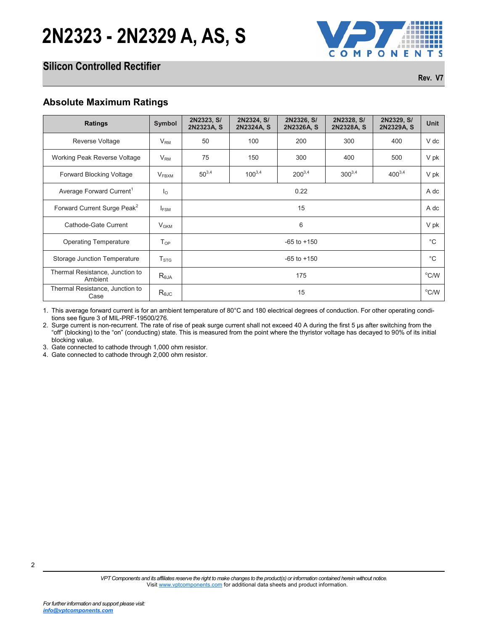

## **Silicon Controlled Rectifier**

**Rev. V7**

| <b>Ratings</b>                                                                                                                                                                                                                                                                                                                                                                                                                                                                                                                                                                                                                        | Symbol            | 2N2323, S/<br>2N2323A, S | 2N2324, S/<br>2N2324A, S | 2N2326, S/<br>2N2326A, S | 2N2328, S/<br>2N2328A, S | 2N2329, S/<br>2N2329A, S | Unit              |
|---------------------------------------------------------------------------------------------------------------------------------------------------------------------------------------------------------------------------------------------------------------------------------------------------------------------------------------------------------------------------------------------------------------------------------------------------------------------------------------------------------------------------------------------------------------------------------------------------------------------------------------|-------------------|--------------------------|--------------------------|--------------------------|--------------------------|--------------------------|-------------------|
| Reverse Voltage                                                                                                                                                                                                                                                                                                                                                                                                                                                                                                                                                                                                                       | V <sub>RM</sub>   | 50                       | 100                      | 200                      | 300                      | 400                      | V dc              |
| Working Peak Reverse Voltage                                                                                                                                                                                                                                                                                                                                                                                                                                                                                                                                                                                                          | $V_{\mathsf{RM}}$ | 75                       | 150                      | 300                      | 400                      | 500                      | V pk              |
| Forward Blocking Voltage                                                                                                                                                                                                                                                                                                                                                                                                                                                                                                                                                                                                              | $V_{\text{FBXM}}$ | $50^{3,4}$               | $100^{3,4}$              | $200^{3,4}$              | $300^{3,4}$              | $400^{3,4}$              | V pk              |
| Average Forward Current <sup>1</sup>                                                                                                                                                                                                                                                                                                                                                                                                                                                                                                                                                                                                  | $I_{\circ}$       |                          |                          | 0.22                     |                          |                          | A dc              |
| Forward Current Surge Peak <sup>2</sup>                                                                                                                                                                                                                                                                                                                                                                                                                                                                                                                                                                                               | $I_{FSM}$         |                          |                          | 15                       |                          |                          | A dc              |
| Cathode-Gate Current                                                                                                                                                                                                                                                                                                                                                                                                                                                                                                                                                                                                                  | V <sub>GKM</sub>  |                          |                          | 6                        |                          |                          | V pk              |
| <b>Operating Temperature</b>                                                                                                                                                                                                                                                                                                                                                                                                                                                                                                                                                                                                          | $T_{OP}$          |                          |                          | $-65$ to $+150$          |                          |                          | $^{\circ}{\rm C}$ |
| Storage Junction Temperature                                                                                                                                                                                                                                                                                                                                                                                                                                                                                                                                                                                                          | $T_{\text{STG}}$  |                          |                          | $-65$ to $+150$          |                          |                          | $^{\circ}$ C      |
| Thermal Resistance, Junction to<br>Ambient                                                                                                                                                                                                                                                                                                                                                                                                                                                                                                                                                                                            | $R_{\theta JA}$   |                          |                          | 175                      |                          |                          | $^{\circ}$ C/W    |
| Thermal Resistance, Junction to<br>Case                                                                                                                                                                                                                                                                                                                                                                                                                                                                                                                                                                                               | $R_{\theta JC}$   |                          |                          | 15                       |                          |                          | $^{\circ}$ C/W    |
|                                                                                                                                                                                                                                                                                                                                                                                                                                                                                                                                                                                                                                       |                   |                          |                          |                          |                          |                          |                   |
| 1. This average forward current is for an ambient temperature of 80°C and 180 electrical degrees of conduction. For other operating condi-<br>tions see figure 3 of MIL-PRF-19500/276.<br>2. Surge current is non-recurrent. The rate of rise of peak surge current shall not exceed 40 A during the first 5 us after switching from the<br>"off" (blocking) to the "on" (conducting) state. This is measured from the point where the thyristor voltage has decayed to 90% of its initial<br>blocking value.<br>3. Gate connected to cathode through 1,000 ohm resistor.<br>4. Gate connected to cathode through 2,000 ohm resistor. |                   |                          |                          |                          |                          |                          |                   |
|                                                                                                                                                                                                                                                                                                                                                                                                                                                                                                                                                                                                                                       |                   |                          |                          |                          |                          |                          |                   |
|                                                                                                                                                                                                                                                                                                                                                                                                                                                                                                                                                                                                                                       |                   |                          |                          |                          |                          |                          |                   |
|                                                                                                                                                                                                                                                                                                                                                                                                                                                                                                                                                                                                                                       |                   |                          |                          |                          |                          |                          |                   |
|                                                                                                                                                                                                                                                                                                                                                                                                                                                                                                                                                                                                                                       |                   |                          |                          |                          |                          |                          |                   |
|                                                                                                                                                                                                                                                                                                                                                                                                                                                                                                                                                                                                                                       |                   |                          |                          |                          |                          |                          |                   |
|                                                                                                                                                                                                                                                                                                                                                                                                                                                                                                                                                                                                                                       |                   |                          |                          |                          |                          |                          |                   |
|                                                                                                                                                                                                                                                                                                                                                                                                                                                                                                                                                                                                                                       |                   |                          |                          |                          |                          |                          |                   |
|                                                                                                                                                                                                                                                                                                                                                                                                                                                                                                                                                                                                                                       |                   |                          |                          |                          |                          |                          |                   |
|                                                                                                                                                                                                                                                                                                                                                                                                                                                                                                                                                                                                                                       |                   |                          |                          |                          |                          |                          |                   |

*[info@vptcomponents.com](http://www.vptcomponents.com)*

2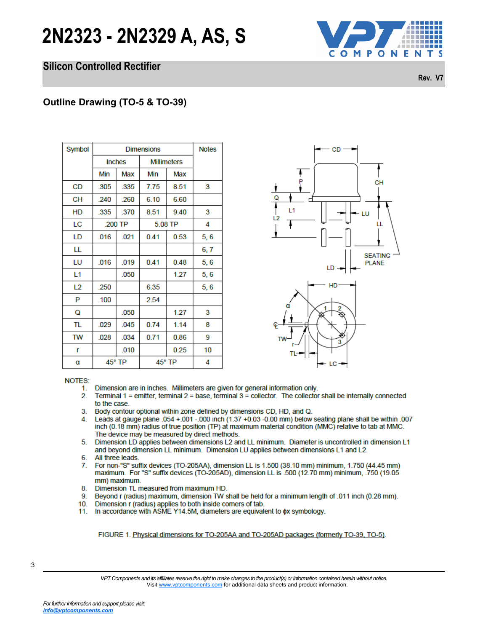### **Silicon Controlled Rectifier**



**Rev. V7**

| Symbol                                | <b>Dimensions</b> |        |                    |                                                                                                                                                                                                                                                                                                                                     |      |
|---------------------------------------|-------------------|--------|--------------------|-------------------------------------------------------------------------------------------------------------------------------------------------------------------------------------------------------------------------------------------------------------------------------------------------------------------------------------|------|
|                                       | <b>Inches</b>     |        | <b>Millimeters</b> |                                                                                                                                                                                                                                                                                                                                     |      |
|                                       | Min               | Max    | Min                | Max                                                                                                                                                                                                                                                                                                                                 |      |
| CD                                    | .305              | .335   | 7.75               | 8.51                                                                                                                                                                                                                                                                                                                                | 3    |
| CН                                    | .240              | .260   | 6.10               | 6.60                                                                                                                                                                                                                                                                                                                                |      |
| HD                                    | .335              | .370   | 8.51               | 9.40                                                                                                                                                                                                                                                                                                                                | 3    |
| LC                                    | .200 TP           |        |                    | 5.08 TP                                                                                                                                                                                                                                                                                                                             | 4    |
| LD                                    | .016              | .021   | 0.41               | 0.53                                                                                                                                                                                                                                                                                                                                | 5, 6 |
| LL                                    |                   |        |                    |                                                                                                                                                                                                                                                                                                                                     | 6, 7 |
| LU                                    | .016              | .019   | 0.41               | 0.48                                                                                                                                                                                                                                                                                                                                | 5, 6 |
| L1                                    |                   | .050   |                    | 1.27                                                                                                                                                                                                                                                                                                                                | 5, 6 |
| L2                                    | .250              |        | 6.35               |                                                                                                                                                                                                                                                                                                                                     | 5,6  |
| P                                     | .100              |        | 2.54               |                                                                                                                                                                                                                                                                                                                                     |      |
| Q                                     |                   | .050   |                    | 1.27                                                                                                                                                                                                                                                                                                                                | 3    |
| TL                                    | .029              | .045   | 0.74               | 1.14                                                                                                                                                                                                                                                                                                                                | 8    |
| TW                                    | .028              | .034   | 0.71               | 0.86                                                                                                                                                                                                                                                                                                                                | 9    |
| r                                     |                   | .010   |                    | 0.25                                                                                                                                                                                                                                                                                                                                | 10   |
| α                                     |                   | 45° TP |                    | 45° TP                                                                                                                                                                                                                                                                                                                              | 4    |
| <b>NOTES:</b><br>1.<br>2.<br>3.<br>4. | to the case.      |        |                    | Dimension are in inches. Millimeters are gi<br>Terminal $1$ = emitter, terminal $2$ = base, term<br>Body contour optional within zone defined t<br>Leads at gauge plane .054 +.001 -.000 inch<br>inch (0.18 mm) radius of true position (TP)<br>The device may be measured by direct met<br>Dimension LD applies between dimensions |      |



- 
- 
- 
- 
- 
- 
- 
- 
- 
- 
- 

3

*VPT Components and its affiliates reserve the right to make changes to the product(s) or information contained herein without notice.*  Visit [www.vptcomponents.com](http://www.vptcomponents.com) for additional data sheets and product information.